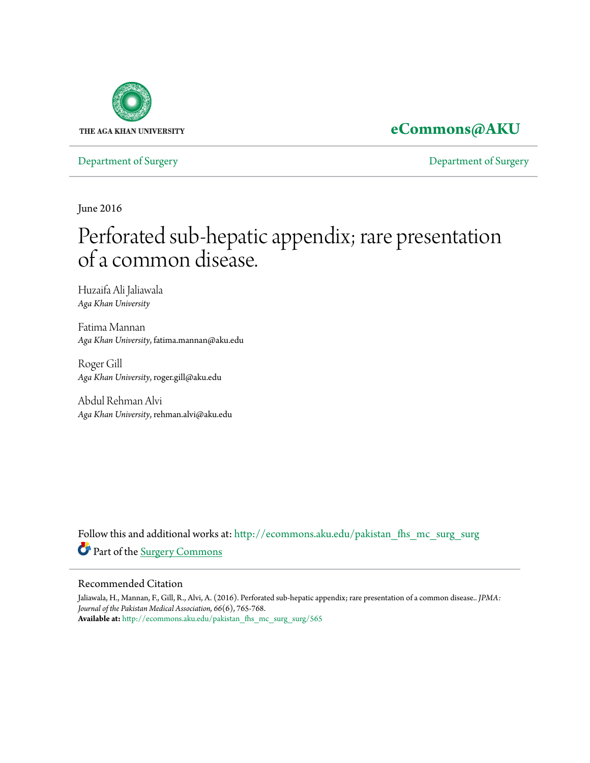

## **[eCommons@AKU](http://ecommons.aku.edu?utm_source=ecommons.aku.edu%2Fpakistan_fhs_mc_surg_surg%2F565&utm_medium=PDF&utm_campaign=PDFCoverPages)**

[Department of Surgery](http://ecommons.aku.edu/pakistan_fhs_mc_surg_surg?utm_source=ecommons.aku.edu%2Fpakistan_fhs_mc_surg_surg%2F565&utm_medium=PDF&utm_campaign=PDFCoverPages) [Department of Surgery](http://ecommons.aku.edu/pakistan_fhs_mc_surg?utm_source=ecommons.aku.edu%2Fpakistan_fhs_mc_surg_surg%2F565&utm_medium=PDF&utm_campaign=PDFCoverPages)

June 2016

# Perforated sub-hepatic appendix; rare presentation of a common disease.

Huzaifa Ali Jaliawala *Aga Khan University*

Fatima Mannan *Aga Khan University*, fatima.mannan@aku.edu

Roger Gill *Aga Khan University*, roger.gill@aku.edu

Abdul Rehman Alvi *Aga Khan University*, rehman.alvi@aku.edu

Follow this and additional works at: [http://ecommons.aku.edu/pakistan\\_fhs\\_mc\\_surg\\_surg](http://ecommons.aku.edu/pakistan_fhs_mc_surg_surg?utm_source=ecommons.aku.edu%2Fpakistan_fhs_mc_surg_surg%2F565&utm_medium=PDF&utm_campaign=PDFCoverPages) Part of the [Surgery Commons](http://network.bepress.com/hgg/discipline/706?utm_source=ecommons.aku.edu%2Fpakistan_fhs_mc_surg_surg%2F565&utm_medium=PDF&utm_campaign=PDFCoverPages)

#### Recommended Citation

Jaliawala, H., Mannan, F., Gill, R., Alvi, A. (2016). Perforated sub-hepatic appendix; rare presentation of a common disease.. *JPMA: Journal of the Pakistan Medical Association, 66*(6), 765-768. **Available at:** [http://ecommons.aku.edu/pakistan\\_fhs\\_mc\\_surg\\_surg/565](http://ecommons.aku.edu/pakistan_fhs_mc_surg_surg/565)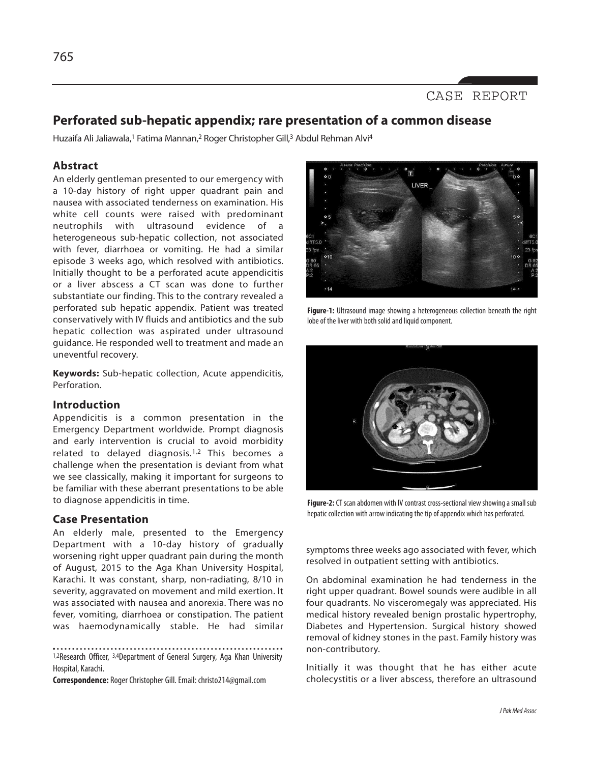### **Perforated sub-hepatic appendix; rare presentation of a common disease**

Huzaifa Ali Jaliawala,<sup>1</sup> Fatima Mannan,<sup>2</sup> Roger Christopher Gill,<sup>3</sup> Abdul Rehman Alvi<sup>4</sup>

#### **Abstract**

An elderly gentleman presented to our emergency with a 10-day history of right upper quadrant pain and nausea with associated tenderness on examination. His white cell counts were raised with predominant neutrophils with ultrasound evidence of a heterogeneous sub-hepatic collection, not associated with fever, diarrhoea or vomiting. He had a similar episode 3 weeks ago, which resolved with antibiotics. Initially thought to be a perforated acute appendicitis or a liver abscess a CT scan was done to further substantiate our finding. This to the contrary revealed a perforated sub hepatic appendix. Patient was treated conservatively with IV fluids and antibiotics and the sub hepatic collection was aspirated under ultrasound guidance. He responded well to treatment and made an uneventful recovery.

**Keywords:** Sub-hepatic collection, Acute appendicitis, **Perforation** 

#### **Introduction**

Appendicitis is a common presentation in the Emergency Department worldwide. Prompt diagnosis and early intervention is crucial to avoid morbidity related to delayed diagnosis.1,2 This becomes a challenge when the presentation is deviant from what we see classically, making it important for surgeons to be familiar with these aberrant presentations to be able to diagnose appendicitis in time.

#### **Case Presentation**

An elderly male, presented to the Emergency Department with a 10-day history of gradually worsening right upper quadrant pain during the month of August, 2015 to the Aga Khan University Hospital, Karachi. It was constant, sharp, non-radiating, 8/10 in severity, aggravated on movement and mild exertion. It was associated with nausea and anorexia. There was no fever, vomiting, diarrhoea or constipation. The patient was haemodynamically stable. He had similar

1,2Research Officer, 3,4Department of General Surgery, Aga Khan University Hospital, Karachi.

**Correspondence:** RogerChristopher Gill.Email: christo214@gmail.com



**Figure-1:** Ultrasound image showing a heterogeneous collection beneath the right lobe of the liver with both solid and liquid component.



Figure-2: CT scan abdomen with IV contrast cross-sectional view showing a small sub hepatic collection with arrow indicating the tip of appendix which has perforated.

symptoms three weeks ago associated with fever, which resolved in outpatient setting with antibiotics.

On abdominal examination he had tenderness in the right upper quadrant. Bowel sounds were audible in all four quadrants. No visceromegaly was appreciated. His medical history revealed benign prostalic hypertrophy, Diabetes and Hypertension. Surgical history showed removal of kidney stones in the past. Family history was non-contributory.

Initially it was thought that he has either acute cholecystitis or a liver abscess, therefore an ultrasound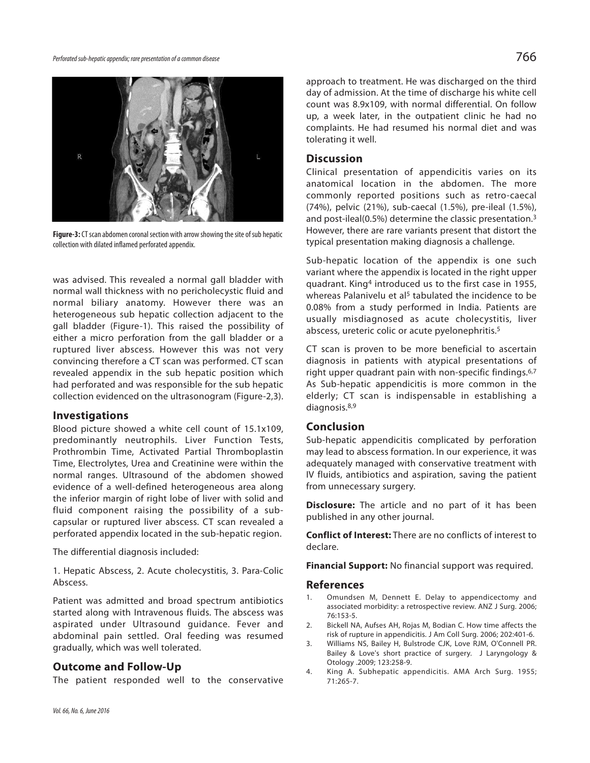



**Figure-3:** CT scan abdomen coronal section with arrow showing the site of sub hepatic collection with dilated inflamed perforated appendix.

was advised. This revealed a normal gall bladder with normal wall thickness with no pericholecystic fluid and normal biliary anatomy. However there was an heterogeneous sub hepatic collection adjacent to the gall bladder (Figure-1). This raised the possibility of either a micro perforation from the gall bladder or a ruptured liver abscess. However this was not very convincing therefore a CT scan was performed. CT scan revealed appendix in the sub hepatic position which had perforated and was responsible for the sub hepatic collection evidenced on the ultrasonogram (Figure-2,3).

#### **Investigations**

Blood picture showed a white cell count of 15.1x109, predominantly neutrophils. Liver Function Tests, Prothrombin Time, Activated Partial Thromboplastin Time, Electrolytes, Urea and Creatinine were within the normal ranges. Ultrasound of the abdomen showed evidence of a well-defined heterogeneous area along the inferior margin of right lobe of liver with solid and fluid component raising the possibility of a subcapsular or ruptured liver abscess. CT scan revealed a perforated appendix located in the sub-hepatic region.

The differential diagnosis included:

1. Hepatic Abscess, 2. Acute cholecystitis, 3. Para-Colic Abscess.

Patient was admitted and broad spectrum antibiotics started along with Intravenous fluids. The abscess was aspirated under Ultrasound guidance. Fever and abdominal pain settled. Oral feeding was resumed gradually, which was well tolerated.

#### **Outcome and Follow-Up**

The patient responded well to the conservative

approach to treatment. He was discharged on the third day of admission. At the time of discharge his white cell count was 8.9x109, with normal differential. On follow up, a week later, in the outpatient clinic he had no complaints. He had resumed his normal diet and was tolerating it well.

#### **Discussion**

Clinical presentation of appendicitis varies on its anatomical location in the abdomen. The more commonly reported positions such as retro-caecal (74%), pelvic (21%), sub-caecal (1.5%), pre-ileal (1.5%), and post-ileal(0.5%) determine the classic presentation. 3 However, there are rare variants present that distort the typical presentation making diagnosis a challenge.

Sub-hepatic location of the appendix is one such variant where the appendix is located in the right upper quadrant. King4 introduced us to the first case in 1955, whereas Palanivelu et al<sup>5</sup> tabulated the incidence to be 0.08% from a study performed in India. Patients are usually misdiagnosed as acute cholecystitis, liver abscess, ureteric colic or acute pyelonephritis. 5

CT scan is proven to be more beneficial to ascertain diagnosis in patients with atypical presentations of right upper quadrant pain with non-specific findings. 6,7 As Sub-hepatic appendicitis is more common in the elderly; CT scan is indispensable in establishing a diagnosis. 8,9

#### **Conclusion**

Sub-hepatic appendicitis complicated by perforation may lead to abscess formation. In our experience, it was adequately managed with conservative treatment with IV fluids, antibiotics and aspiration, saving the patient from unnecessary surgery.

**Disclosure:** The article and no part of it has been published in any other journal.

**Conflict of Interest:** There are no conflicts of interest to declare.

**Financial Support:** No financial support was required.

#### **References**

- 1. Omundsen M, Dennett E. Delay to appendicectomy and associated morbidity: a retrospective review. ANZ J Surg. 2006; 76:153-5.
- 2. Bickell NA, Aufses AH, Rojas M, Bodian C. How time affects the risk of rupture in appendicitis. J Am Coll Surg. 2006; 202:401-6.
- 3. Williams NS, Bailey H, Bulstrode CJK, Love RJM, O'Connell PR. Bailey & Love's short practice of surgery. J Laryngology & Otology .2009; 123:258-9.
- 4. King A. Subhepatic appendicitis. AMA Arch Surg. 1955; 71:265-7.